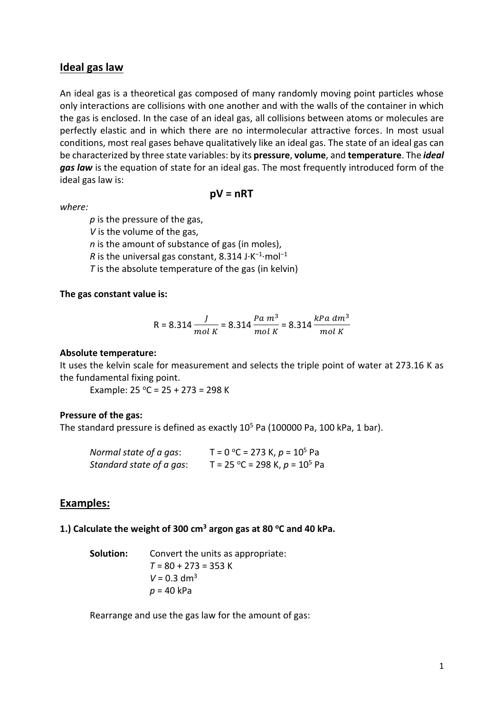# **Ideal gas law**

An ideal gas is a theoretical gas composed of many randomly moving point particles whose only interactions are collisions with one another and with the walls of the container in which the gas is enclosed. In the case of an ideal gas, all collisions between atoms or molecules are perfectly elastic and in which there are no intermolecular attractive forces. In most usual conditions, most real gases behave qualitatively like an ideal gas. The state of an ideal gas can be characterized by three state variables: by its **pressure**, **volume**, and **temperature**. The *ideal*  gas law is the equation of state for an ideal gas. The most frequently introduced form of the ideal gas law is:

*where:*

**pV = nRT**

*p* is the pressure of the gas,

*V* is the volume of the gas,

*n* is the amount of substance of gas (in moles),

*R* is the universal gas constant, 8.314 J·K<sup>-1</sup>·mol<sup>-1</sup>

*T* is the absolute temperature of the gas (in kelvin)

## **The gas constant value is:**

R = 8.314 
$$
\frac{J}{mol\ K}
$$
 = 8.314  $\frac{Pa\ m^3}{mol\ K}$  = 8.314  $\frac{kPa\ dm^3}{mol\ K}$ 

### **Absolute temperature:**

It uses the kelvin scale for measurement and selects the triple point of water at 273.16 K as the fundamental fixing point.

Example:  $25 °C = 25 + 273 = 298 K$ 

## **Pressure of the gas:**

The standard pressure is defined as exactly  $10^5$  Pa (100000 Pa, 100 kPa, 1 bar).

| Normal state of a gas:   | T = 0 °C = 273 K, $p = 10^5$ Pa  |
|--------------------------|----------------------------------|
| Standard state of a gas: | T = 25 °C = 298 K, $p = 10^5$ Pa |

## **Examples:**

### **1.) Calculate the weight of 300 cm<sup>3</sup> argon gas at 80 <sup>o</sup>C and 40 kPa.**

**Solution:** Convert the units as appropriate: *T* = 80 + 273 = 353 K  $V = 0.3$  dm<sup>3</sup> *p* = 40 kPa

Rearrange and use the gas law for the amount of gas: